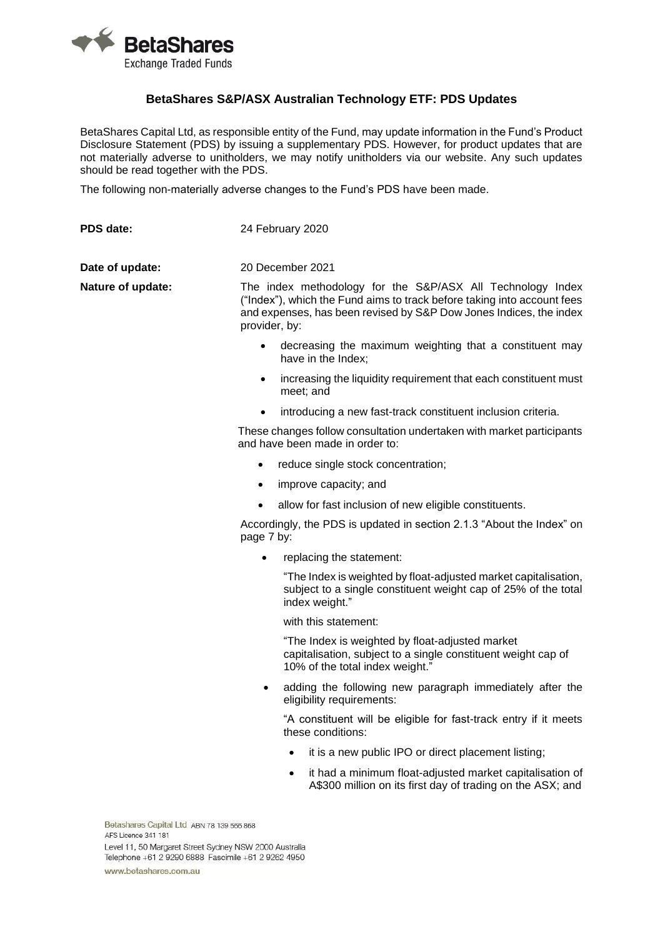

## **BetaShares S&P/ASX Australian Technology ETF: PDS Updates**

BetaShares Capital Ltd, as responsible entity of the Fund, may update information in the Fund's Product Disclosure Statement (PDS) by issuing a supplementary PDS. However, for product updates that are not materially adverse to unitholders, we may notify unitholders via our website. Any such updates should be read together with the PDS.

The following non-materially adverse changes to the Fund's PDS have been made.

| PDS date:         | 24 February 2020                                                                                                                                                                                                             |
|-------------------|------------------------------------------------------------------------------------------------------------------------------------------------------------------------------------------------------------------------------|
| Date of update:   | 20 December 2021                                                                                                                                                                                                             |
| Nature of update: | The index methodology for the S&P/ASX All Technology Index<br>("Index"), which the Fund aims to track before taking into account fees<br>and expenses, has been revised by S&P Dow Jones Indices, the index<br>provider, by: |
|                   | decreasing the maximum weighting that a constituent may<br>have in the Index;                                                                                                                                                |
|                   | increasing the liquidity requirement that each constituent must<br>$\bullet$<br>meet; and                                                                                                                                    |
|                   | introducing a new fast-track constituent inclusion criteria.<br>$\bullet$                                                                                                                                                    |
|                   | These changes follow consultation undertaken with market participants<br>and have been made in order to:                                                                                                                     |

- reduce single stock concentration;
- improve capacity: and
- allow for fast inclusion of new eligible constituents.

Accordingly, the PDS is updated in section 2.1.3 "About the Index" on page 7 by:

• replacing the statement:

"The Index is weighted by float-adjusted market capitalisation, subject to a single constituent weight cap of 25% of the total index weight."

with this statement:

"The Index is weighted by float-adjusted market capitalisation, subject to a single constituent weight cap of 10% of the total index weight."

adding the following new paragraph immediately after the eligibility requirements:

"A constituent will be eligible for fast-track entry if it meets these conditions:

- it is a new public IPO or direct placement listing:
- it had a minimum float-adjusted market capitalisation of A\$300 million on its first day of trading on the ASX; and

Betashares Capital Ltd ABN 78 139 566 868 AFS Licence 341 181 Level 11, 50 Margaret Street Sydney NSW 2000 Australia Telephone +61 2 9290 6888 Fascimile +61 2 9262 4950 www.betashares.com.au